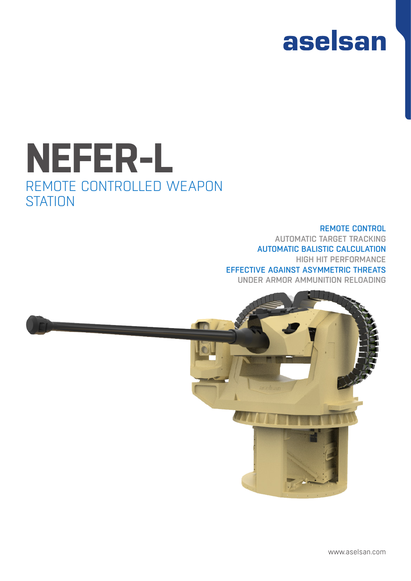

# **NEFER-L** REMOTE CONTROLLED WEAPON **STATION**

#### REMOTE CONTROL AUTOMATIC TARGET TRACKING AUTOMATIC BALISTIC CALCULATION HIGH HIT PERFORMANCE EFFECTIVE AGAINST ASYMMETRIC THREATS UNDER ARMOR AMMUNITION RELOADING